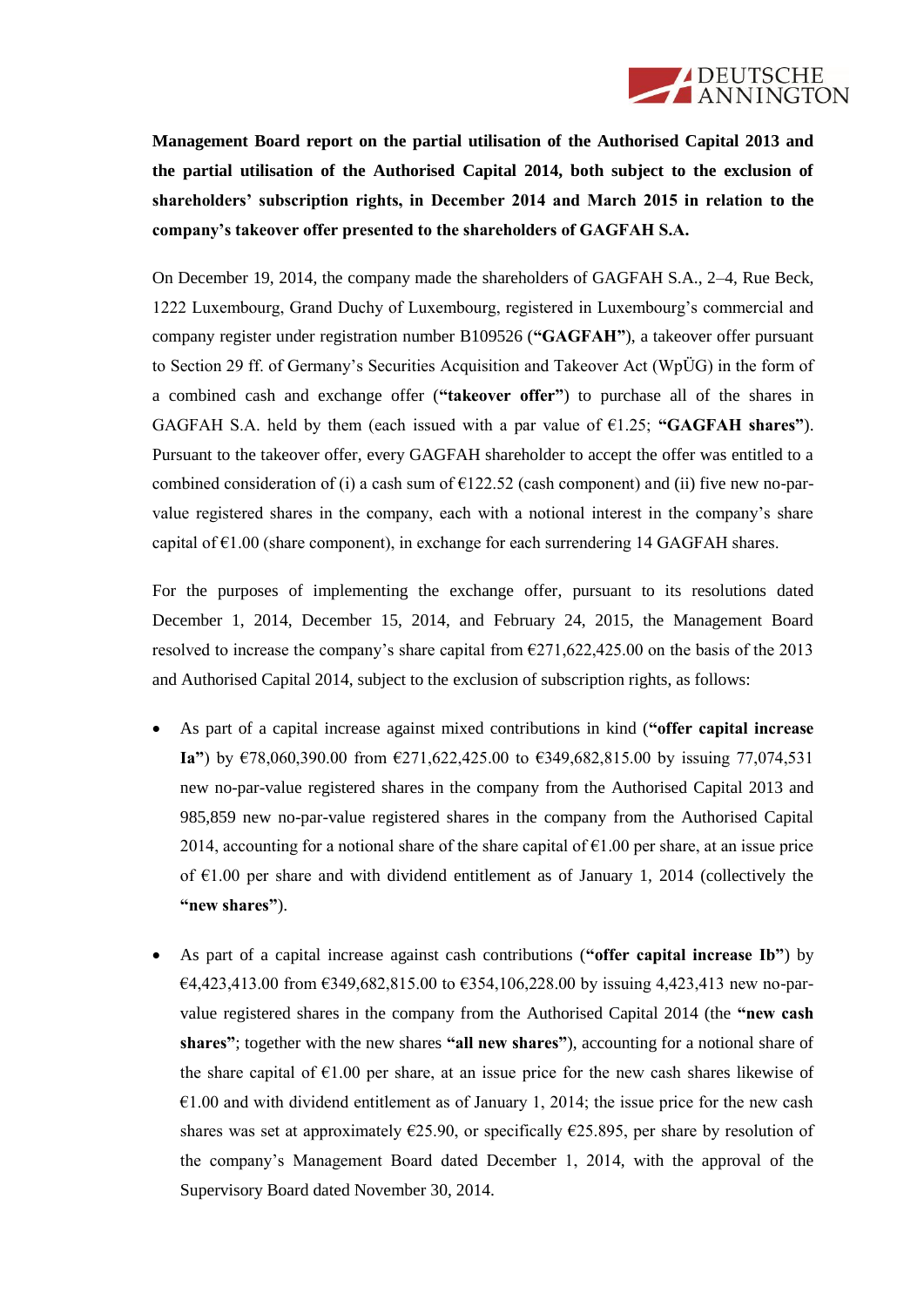

**Management Board report on the partial utilisation of the Authorised Capital 2013 and the partial utilisation of the Authorised Capital 2014, both subject to the exclusion of shareholders' subscription rights, in December 2014 and March 2015 in relation to the company's takeover offer presented to the shareholders of GAGFAH S.A.**

On December 19, 2014, the company made the shareholders of GAGFAH S.A., 2–4, Rue Beck, 1222 Luxembourg, Grand Duchy of Luxembourg, registered in Luxembourg's commercial and company register under registration number B109526 (**"GAGFAH"**), a takeover offer pursuant to Section 29 ff. of Germany's Securities Acquisition and Takeover Act (WpÜG) in the form of a combined cash and exchange offer (**"takeover offer"**) to purchase all of the shares in GAGFAH S.A. held by them (each issued with a par value of  $\epsilon$ 1.25; "GAGFAH shares"). Pursuant to the takeover offer, every GAGFAH shareholder to accept the offer was entitled to a combined consideration of (i) a cash sum of  $\epsilon$ 122.52 (cash component) and (ii) five new no-parvalue registered shares in the company, each with a notional interest in the company's share capital of  $\epsilon$ 1.00 (share component), in exchange for each surrendering 14 GAGFAH shares.

For the purposes of implementing the exchange offer, pursuant to its resolutions dated December 1, 2014, December 15, 2014, and February 24, 2015, the Management Board resolved to increase the company's share capital from €271,622,425.00 on the basis of the 2013 and Authorised Capital 2014, subject to the exclusion of subscription rights, as follows:

- As part of a capital increase against mixed contributions in kind (**"offer capital increase Ia"**) by €78,060,390.00 from €271,622,425.00 to €349,682,815.00 by issuing 77,074,531 new no-par-value registered shares in the company from the Authorised Capital 2013 and 985,859 new no-par-value registered shares in the company from the Authorised Capital 2014, accounting for a notional share of the share capital of  $\epsilon$ 1.00 per share, at an issue price of  $\epsilon$ 1.00 per share and with dividend entitlement as of January 1, 2014 (collectively the **"new shares"**).
- As part of a capital increase against cash contributions (**"offer capital increase Ib"**) by €4,423,413.00 from €349,682,815.00 to €354,106,228.00 by issuing 4,423,413 new no-parvalue registered shares in the company from the Authorised Capital 2014 (the **"new cash shares"**; together with the new shares **"all new shares"**), accounting for a notional share of the share capital of  $E1.00$  per share, at an issue price for the new cash shares likewise of  $\epsilon$ 1.00 and with dividend entitlement as of January 1, 2014; the issue price for the new cash shares was set at approximately  $\epsilon$ 25.90, or specifically  $\epsilon$ 25.895, per share by resolution of the company's Management Board dated December 1, 2014, with the approval of the Supervisory Board dated November 30, 2014.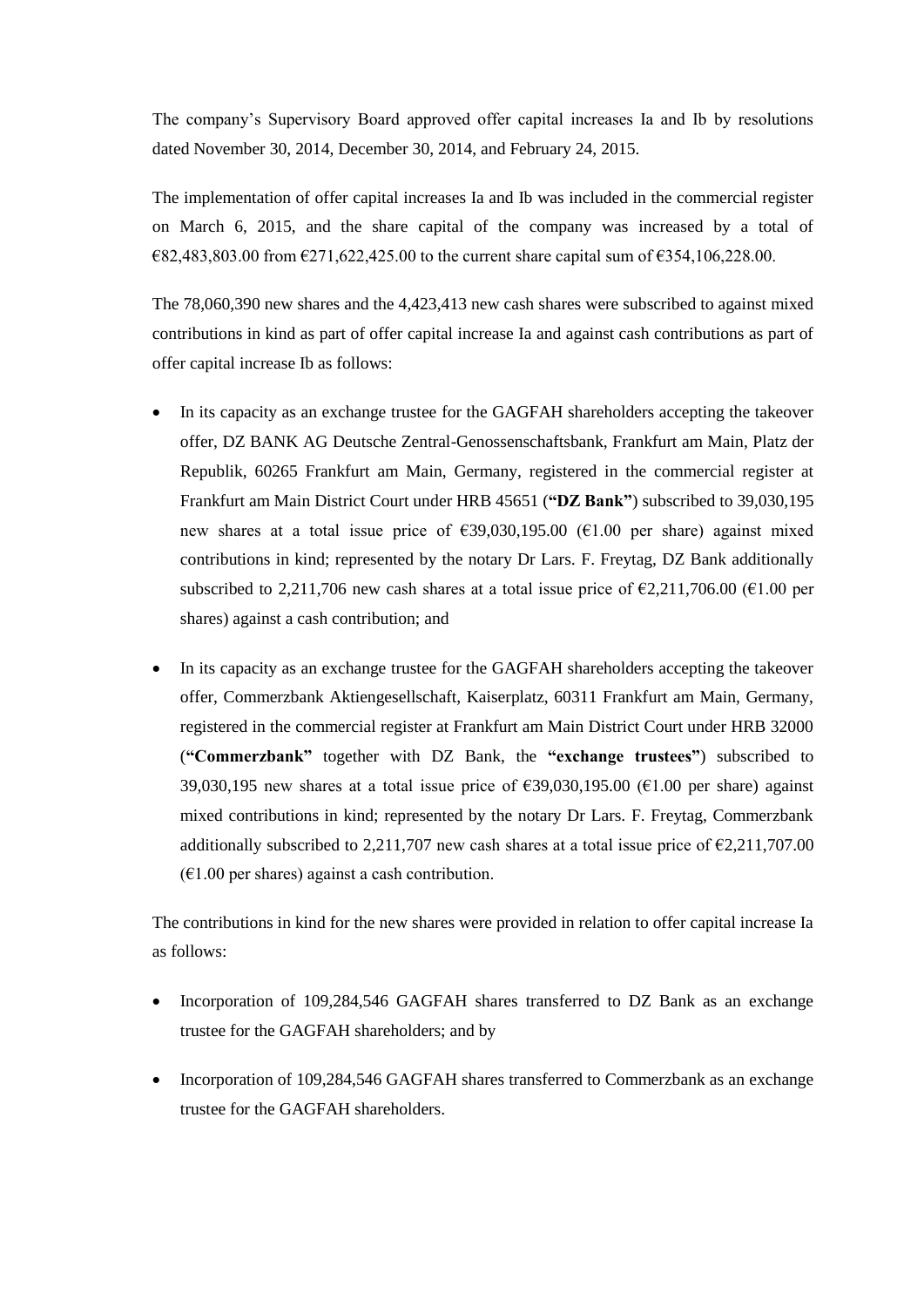The company's Supervisory Board approved offer capital increases Ia and Ib by resolutions dated November 30, 2014, December 30, 2014, and February 24, 2015.

The implementation of offer capital increases Ia and Ib was included in the commercial register on March 6, 2015, and the share capital of the company was increased by a total of  $682,483,803.00$  from  $6271,622,425.00$  to the current share capital sum of  $6354,106,228.00$ .

The 78,060,390 new shares and the 4,423,413 new cash shares were subscribed to against mixed contributions in kind as part of offer capital increase Ia and against cash contributions as part of offer capital increase Ib as follows:

- In its capacity as an exchange trustee for the GAGFAH shareholders accepting the takeover offer, DZ BANK AG Deutsche Zentral-Genossenschaftsbank, Frankfurt am Main, Platz der Republik, 60265 Frankfurt am Main, Germany, registered in the commercial register at Frankfurt am Main District Court under HRB 45651 (**"DZ Bank"**) subscribed to 39,030,195 new shares at a total issue price of  $\epsilon$ 39,030,195.00 ( $\epsilon$ 1.00 per share) against mixed contributions in kind; represented by the notary Dr Lars. F. Freytag, DZ Bank additionally subscribed to 2,211,706 new cash shares at a total issue price of  $\epsilon$ 2,211,706.00 ( $\epsilon$ 1.00 per shares) against a cash contribution; and
- In its capacity as an exchange trustee for the GAGFAH shareholders accepting the takeover offer, Commerzbank Aktiengesellschaft, Kaiserplatz, 60311 Frankfurt am Main, Germany, registered in the commercial register at Frankfurt am Main District Court under HRB 32000 (**"Commerzbank"** together with DZ Bank, the **"exchange trustees"**) subscribed to 39,030,195 new shares at a total issue price of  $\epsilon$ 39,030,195.00 ( $\epsilon$ 1.00 per share) against mixed contributions in kind; represented by the notary Dr Lars. F. Freytag, Commerzbank additionally subscribed to 2,211,707 new cash shares at a total issue price of  $\epsilon$ 2,211,707.00  $(61.00 \text{ per shares})$  against a cash contribution.

The contributions in kind for the new shares were provided in relation to offer capital increase Ia as follows:

- Incorporation of 109,284,546 GAGFAH shares transferred to DZ Bank as an exchange trustee for the GAGFAH shareholders; and by
- Incorporation of 109,284,546 GAGFAH shares transferred to Commerzbank as an exchange trustee for the GAGFAH shareholders.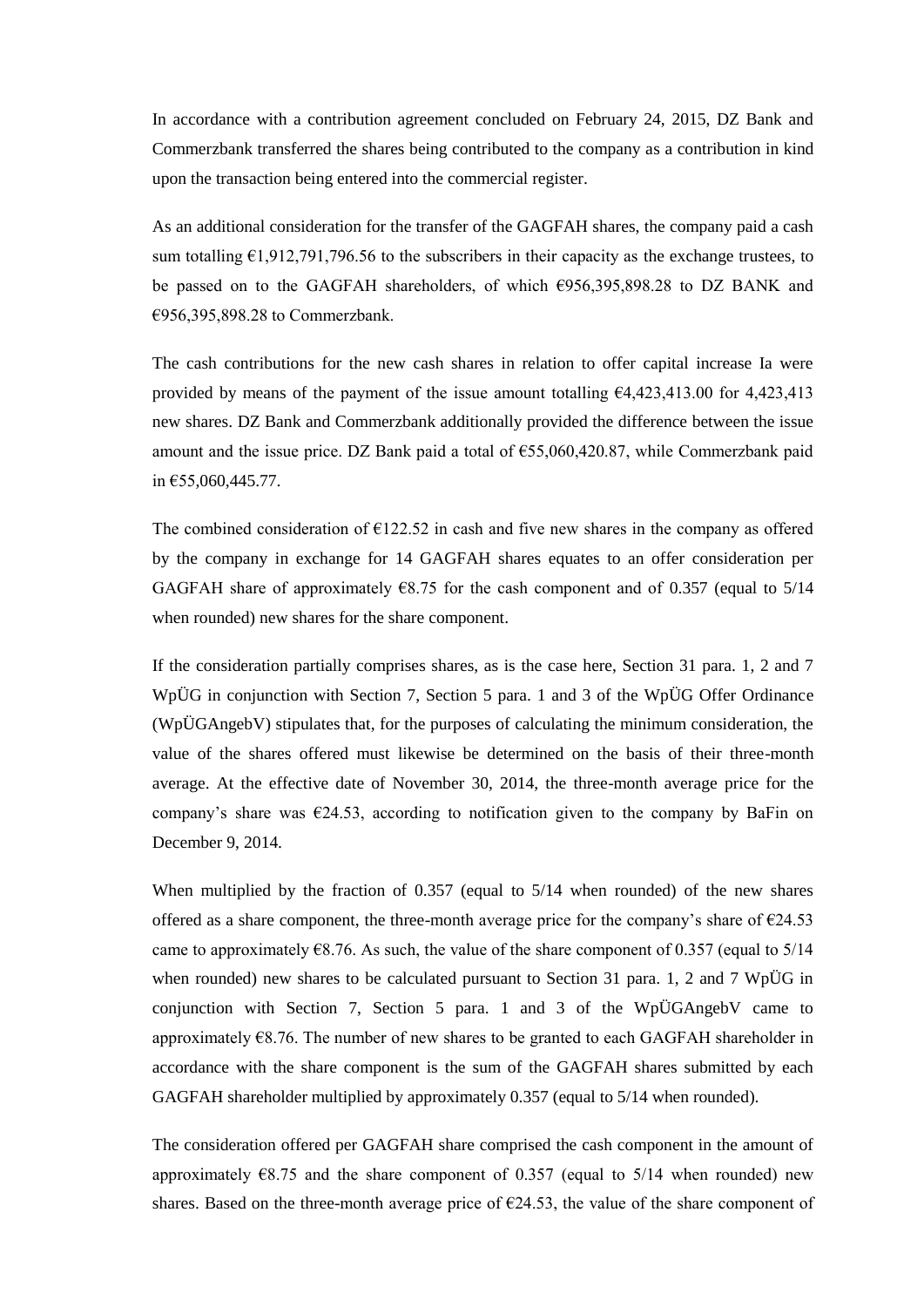In accordance with a contribution agreement concluded on February 24, 2015, DZ Bank and Commerzbank transferred the shares being contributed to the company as a contribution in kind upon the transaction being entered into the commercial register.

As an additional consideration for the transfer of the GAGFAH shares, the company paid a cash sum totalling  $E1,912,791,796.56$  to the subscribers in their capacity as the exchange trustees, to be passed on to the GAGFAH shareholders, of which €956,395,898.28 to DZ BANK and €956,395,898.28 to Commerzbank.

The cash contributions for the new cash shares in relation to offer capital increase Ia were provided by means of the payment of the issue amount totalling €4,423,413.00 for 4,423,413 new shares. DZ Bank and Commerzbank additionally provided the difference between the issue amount and the issue price. DZ Bank paid a total of €55,060,420.87, while Commerzbank paid in €55,060,445.77.

The combined consideration of  $E122.52$  in cash and five new shares in the company as offered by the company in exchange for 14 GAGFAH shares equates to an offer consideration per GAGFAH share of approximately  $68.75$  for the cash component and of 0.357 (equal to 5/14) when rounded) new shares for the share component.

If the consideration partially comprises shares, as is the case here, Section 31 para. 1, 2 and 7 WpÜG in conjunction with Section 7, Section 5 para. 1 and 3 of the WpÜG Offer Ordinance (WpÜGAngebV) stipulates that, for the purposes of calculating the minimum consideration, the value of the shares offered must likewise be determined on the basis of their three-month average. At the effective date of November 30, 2014, the three-month average price for the company's share was  $\epsilon$ 24.53, according to notification given to the company by BaFin on December 9, 2014.

When multiplied by the fraction of 0.357 (equal to 5/14 when rounded) of the new shares offered as a share component, the three-month average price for the company's share of  $\epsilon$ 24.53 came to approximately  $\epsilon$ 8.76. As such, the value of the share component of 0.357 (equal to 5/14) when rounded) new shares to be calculated pursuant to Section 31 para. 1, 2 and 7 WpÜG in conjunction with Section 7, Section 5 para. 1 and 3 of the WpÜGAngebV came to approximately  $68.76$ . The number of new shares to be granted to each GAGFAH shareholder in accordance with the share component is the sum of the GAGFAH shares submitted by each GAGFAH shareholder multiplied by approximately 0.357 (equal to 5/14 when rounded).

The consideration offered per GAGFAH share comprised the cash component in the amount of approximately  $68.75$  and the share component of 0.357 (equal to 5/14 when rounded) new shares. Based on the three-month average price of  $\epsilon$ 24.53, the value of the share component of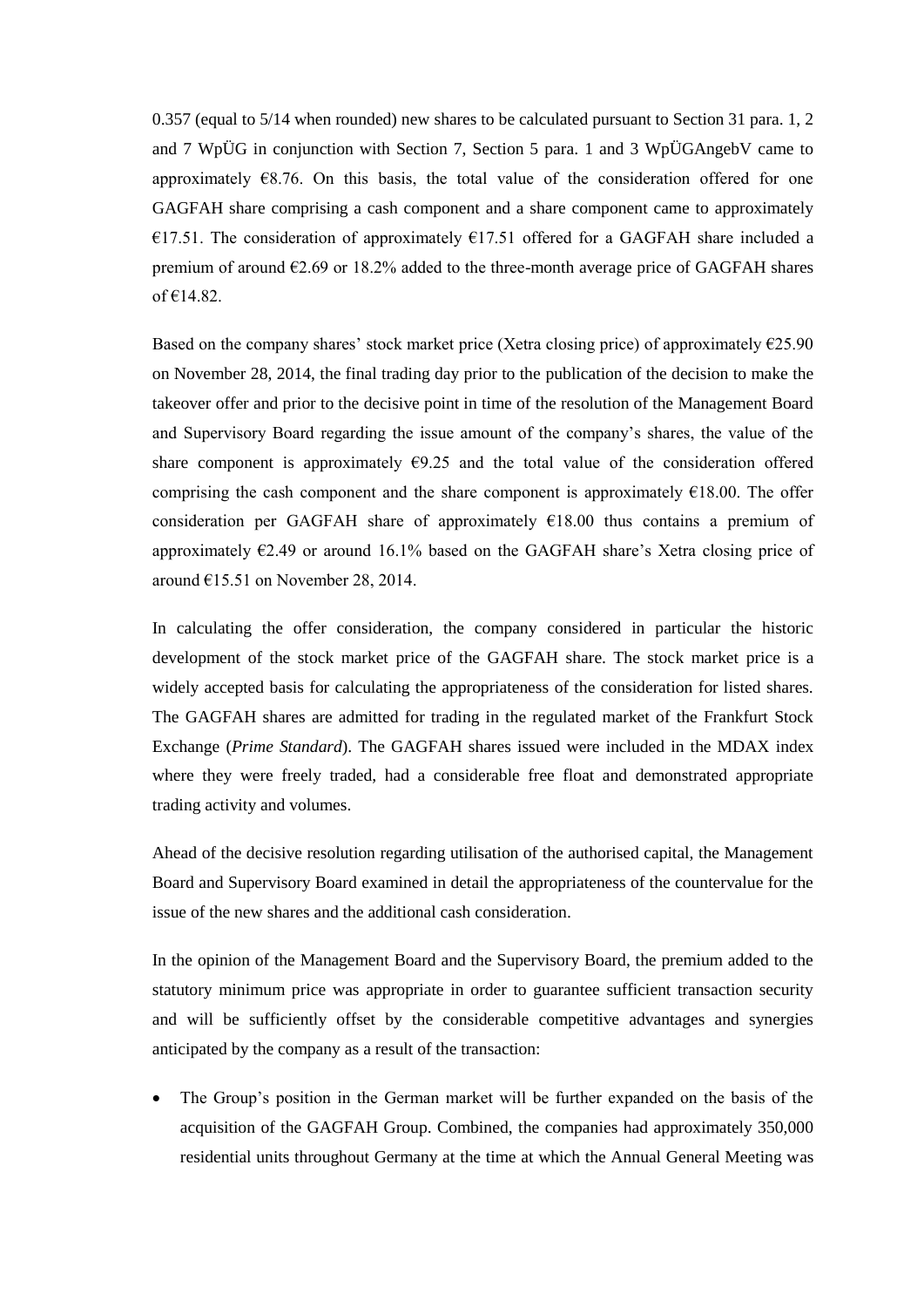0.357 (equal to 5/14 when rounded) new shares to be calculated pursuant to Section 31 para. 1, 2 and 7 WpÜG in conjunction with Section 7, Section 5 para. 1 and 3 WpÜGAngebV came to approximately  $E$ 8.76. On this basis, the total value of the consideration offered for one GAGFAH share comprising a cash component and a share component came to approximately €17.51. The consideration of approximately €17.51 offered for a GAGFAH share included a premium of around €2.69 or 18.2% added to the three-month average price of GAGFAH shares of  $€14.82$ .

Based on the company shares' stock market price (Xetra closing price) of approximately  $\epsilon$ 25.90 on November 28, 2014, the final trading day prior to the publication of the decision to make the takeover offer and prior to the decisive point in time of the resolution of the Management Board and Supervisory Board regarding the issue amount of the company's shares, the value of the share component is approximately  $\epsilon$ 9.25 and the total value of the consideration offered comprising the cash component and the share component is approximately  $\epsilon$ 18.00. The offer consideration per GAGFAH share of approximately  $E18.00$  thus contains a premium of approximately  $E2.49$  or around 16.1% based on the GAGFAH share's Xetra closing price of around  $£15.51$  on November 28, 2014.

In calculating the offer consideration, the company considered in particular the historic development of the stock market price of the GAGFAH share. The stock market price is a widely accepted basis for calculating the appropriateness of the consideration for listed shares. The GAGFAH shares are admitted for trading in the regulated market of the Frankfurt Stock Exchange (*Prime Standard*). The GAGFAH shares issued were included in the MDAX index where they were freely traded, had a considerable free float and demonstrated appropriate trading activity and volumes.

Ahead of the decisive resolution regarding utilisation of the authorised capital, the Management Board and Supervisory Board examined in detail the appropriateness of the countervalue for the issue of the new shares and the additional cash consideration.

In the opinion of the Management Board and the Supervisory Board, the premium added to the statutory minimum price was appropriate in order to guarantee sufficient transaction security and will be sufficiently offset by the considerable competitive advantages and synergies anticipated by the company as a result of the transaction:

 The Group's position in the German market will be further expanded on the basis of the acquisition of the GAGFAH Group. Combined, the companies had approximately 350,000 residential units throughout Germany at the time at which the Annual General Meeting was